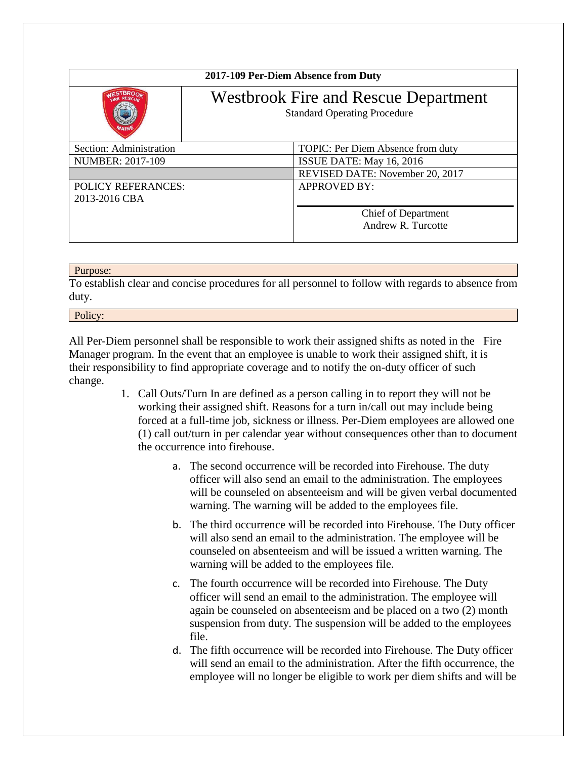| 2017-109 Per-Diem Absence from Duty |                                                                                    |                                   |
|-------------------------------------|------------------------------------------------------------------------------------|-----------------------------------|
|                                     | <b>Westbrook Fire and Rescue Department</b><br><b>Standard Operating Procedure</b> |                                   |
| Section: Administration             |                                                                                    | TOPIC: Per Diem Absence from duty |
| <b>NUMBER: 2017-109</b>             |                                                                                    | ISSUE DATE: May 16, 2016          |
|                                     |                                                                                    | REVISED DATE: November 20, 2017   |
| <b>POLICY REFERANCES:</b>           |                                                                                    | <b>APPROVED BY:</b>               |
| 2013-2016 CBA                       |                                                                                    |                                   |
|                                     |                                                                                    | Chief of Department               |
|                                     |                                                                                    | Andrew R. Turcotte                |
|                                     |                                                                                    |                                   |

## Purpose:

To establish clear and concise procedures for all personnel to follow with regards to absence from duty.

## Policy:

All Per-Diem personnel shall be responsible to work their assigned shifts as noted in the Fire Manager program. In the event that an employee is unable to work their assigned shift, it is their responsibility to find appropriate coverage and to notify the on-duty officer of such change.

- 1. Call Outs/Turn In are defined as a person calling in to report they will not be working their assigned shift. Reasons for a turn in/call out may include being forced at a full-time job, sickness or illness. Per-Diem employees are allowed one (1) call out/turn in per calendar year without consequences other than to document the occurrence into firehouse.
	- a. The second occurrence will be recorded into Firehouse. The duty officer will also send an email to the administration. The employees will be counseled on absenteeism and will be given verbal documented warning. The warning will be added to the employees file.
	- b. The third occurrence will be recorded into Firehouse. The Duty officer will also send an email to the administration. The employee will be counseled on absenteeism and will be issued a written warning. The warning will be added to the employees file.
	- c. The fourth occurrence will be recorded into Firehouse. The Duty officer will send an email to the administration. The employee will again be counseled on absenteeism and be placed on a two (2) month suspension from duty. The suspension will be added to the employees file.
	- d. The fifth occurrence will be recorded into Firehouse. The Duty officer will send an email to the administration. After the fifth occurrence, the employee will no longer be eligible to work per diem shifts and will be